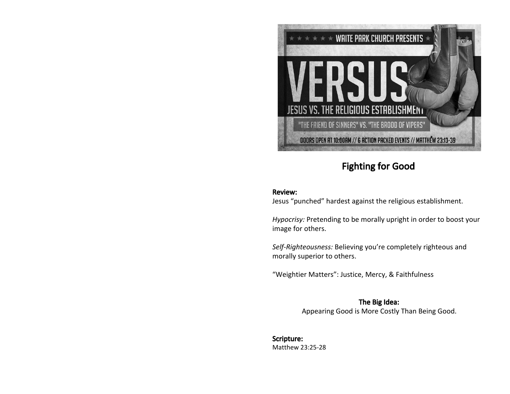

## Fighting for Good

## Review:

Jesus "punched" hardest against the religious establishment.

*Hypocrisy:* Pretending to be morally upright in order to boost your image for others.

*Self-Righteousness:* Believing you're completely righteous and morally superior to others.

"Weightier Matters": Justice, Mercy, & Faithfulness

The Big Idea: Appearing Good is More Costly Than Being Good.

Scripture: Matthew 23:25-28